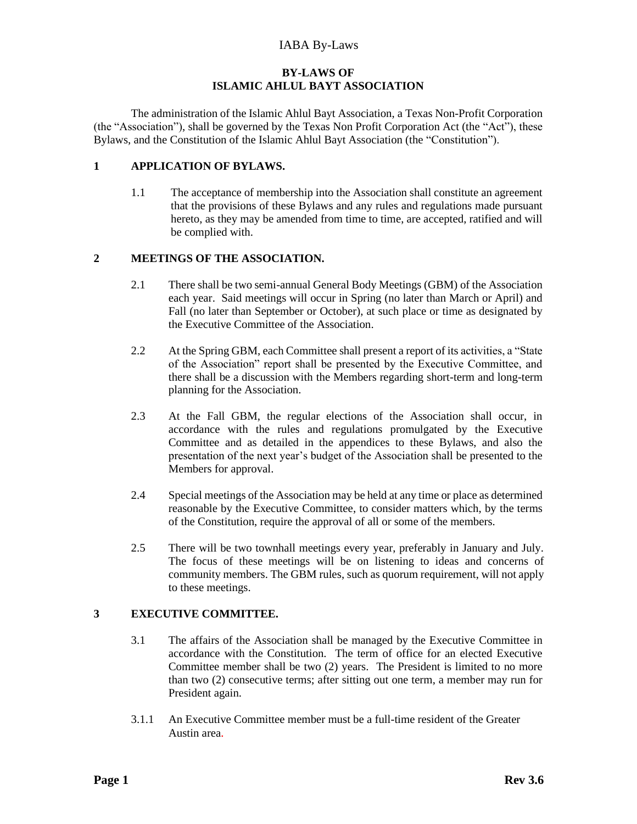# **BY-LAWS OF ISLAMIC AHLUL BAYT ASSOCIATION**

The administration of the Islamic Ahlul Bayt Association, a Texas Non-Profit Corporation (the "Association"), shall be governed by the Texas Non Profit Corporation Act (the "Act"), these Bylaws, and the Constitution of the Islamic Ahlul Bayt Association (the "Constitution").

## **1 APPLICATION OF BYLAWS.**

1.1 The acceptance of membership into the Association shall constitute an agreement that the provisions of these Bylaws and any rules and regulations made pursuant hereto, as they may be amended from time to time, are accepted, ratified and will be complied with.

## **2 MEETINGS OF THE ASSOCIATION.**

- 2.1 There shall be two semi-annual General Body Meetings (GBM) of the Association each year. Said meetings will occur in Spring (no later than March or April) and Fall (no later than September or October), at such place or time as designated by the Executive Committee of the Association.
- 2.2 At the Spring GBM, each Committee shall present a report of its activities, a "State of the Association" report shall be presented by the Executive Committee, and there shall be a discussion with the Members regarding short-term and long-term planning for the Association.
- 2.3 At the Fall GBM, the regular elections of the Association shall occur, in accordance with the rules and regulations promulgated by the Executive Committee and as detailed in the appendices to these Bylaws, and also the presentation of the next year's budget of the Association shall be presented to the Members for approval.
- 2.4 Special meetings of the Association may be held at any time or place as determined reasonable by the Executive Committee, to consider matters which, by the terms of the Constitution, require the approval of all or some of the members.
- 2.5 There will be two townhall meetings every year, preferably in January and July. The focus of these meetings will be on listening to ideas and concerns of community members. The GBM rules, such as quorum requirement, will not apply to these meetings.

#### **3 EXECUTIVE COMMITTEE.**

- 3.1 The affairs of the Association shall be managed by the Executive Committee in accordance with the Constitution. The term of office for an elected Executive Committee member shall be two (2) years. The President is limited to no more than two (2) consecutive terms; after sitting out one term, a member may run for President again.
- 3.1.1 An Executive Committee member must be a full-time resident of the Greater Austin area*.*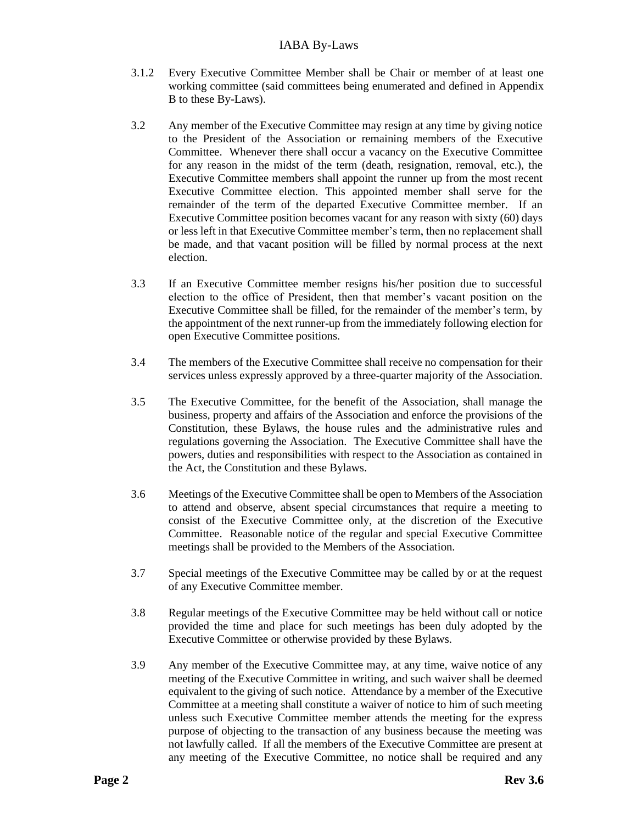- 3.1.2 Every Executive Committee Member shall be Chair or member of at least one working committee (said committees being enumerated and defined in Appendix B to these By-Laws).
- 3.2 Any member of the Executive Committee may resign at any time by giving notice to the President of the Association or remaining members of the Executive Committee. Whenever there shall occur a vacancy on the Executive Committee for any reason in the midst of the term (death, resignation, removal, etc.), the Executive Committee members shall appoint the runner up from the most recent Executive Committee election. This appointed member shall serve for the remainder of the term of the departed Executive Committee member. If an Executive Committee position becomes vacant for any reason with sixty (60) days or less left in that Executive Committee member's term, then no replacement shall be made, and that vacant position will be filled by normal process at the next election.
- 3.3 If an Executive Committee member resigns his/her position due to successful election to the office of President, then that member's vacant position on the Executive Committee shall be filled, for the remainder of the member's term, by the appointment of the next runner-up from the immediately following election for open Executive Committee positions.
- 3.4 The members of the Executive Committee shall receive no compensation for their services unless expressly approved by a three-quarter majority of the Association.
- 3.5 The Executive Committee, for the benefit of the Association, shall manage the business, property and affairs of the Association and enforce the provisions of the Constitution, these Bylaws, the house rules and the administrative rules and regulations governing the Association. The Executive Committee shall have the powers, duties and responsibilities with respect to the Association as contained in the Act, the Constitution and these Bylaws.
- 3.6 Meetings of the Executive Committee shall be open to Members of the Association to attend and observe, absent special circumstances that require a meeting to consist of the Executive Committee only, at the discretion of the Executive Committee. Reasonable notice of the regular and special Executive Committee meetings shall be provided to the Members of the Association.
- 3.7 Special meetings of the Executive Committee may be called by or at the request of any Executive Committee member.
- 3.8 Regular meetings of the Executive Committee may be held without call or notice provided the time and place for such meetings has been duly adopted by the Executive Committee or otherwise provided by these Bylaws.
- 3.9 Any member of the Executive Committee may, at any time, waive notice of any meeting of the Executive Committee in writing, and such waiver shall be deemed equivalent to the giving of such notice. Attendance by a member of the Executive Committee at a meeting shall constitute a waiver of notice to him of such meeting unless such Executive Committee member attends the meeting for the express purpose of objecting to the transaction of any business because the meeting was not lawfully called. If all the members of the Executive Committee are present at any meeting of the Executive Committee, no notice shall be required and any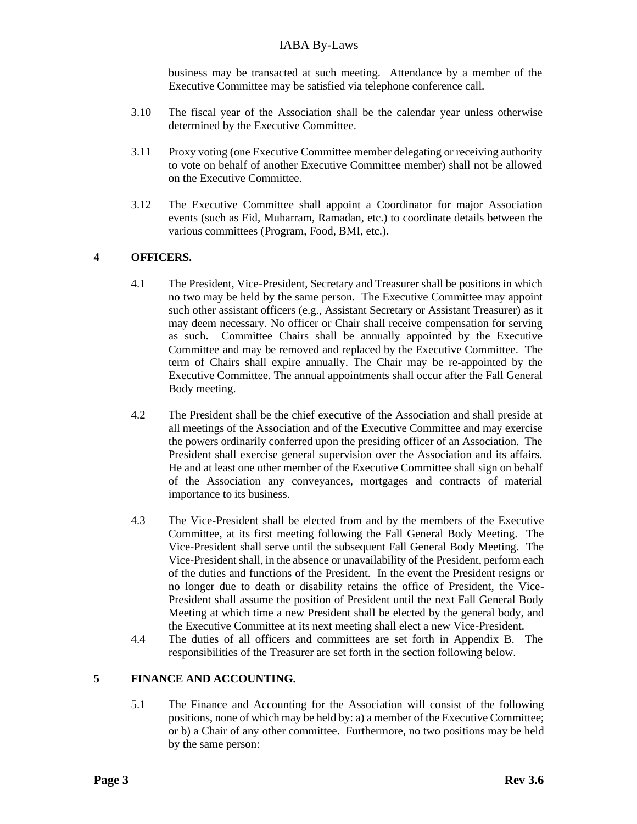business may be transacted at such meeting. Attendance by a member of the Executive Committee may be satisfied via telephone conference call.

- 3.10 The fiscal year of the Association shall be the calendar year unless otherwise determined by the Executive Committee.
- 3.11 Proxy voting (one Executive Committee member delegating or receiving authority to vote on behalf of another Executive Committee member) shall not be allowed on the Executive Committee.
- 3.12 The Executive Committee shall appoint a Coordinator for major Association events (such as Eid, Muharram, Ramadan, etc.) to coordinate details between the various committees (Program, Food, BMI, etc.).

# **4 OFFICERS.**

- 4.1 The President, Vice-President, Secretary and Treasurer shall be positions in which no two may be held by the same person. The Executive Committee may appoint such other assistant officers (e.g., Assistant Secretary or Assistant Treasurer) as it may deem necessary. No officer or Chair shall receive compensation for serving as such. Committee Chairs shall be annually appointed by the Executive Committee and may be removed and replaced by the Executive Committee. The term of Chairs shall expire annually. The Chair may be re-appointed by the Executive Committee. The annual appointments shall occur after the Fall General Body meeting.
- 4.2 The President shall be the chief executive of the Association and shall preside at all meetings of the Association and of the Executive Committee and may exercise the powers ordinarily conferred upon the presiding officer of an Association. The President shall exercise general supervision over the Association and its affairs. He and at least one other member of the Executive Committee shall sign on behalf of the Association any conveyances, mortgages and contracts of material importance to its business.
- 4.3 The Vice-President shall be elected from and by the members of the Executive Committee, at its first meeting following the Fall General Body Meeting. The Vice-President shall serve until the subsequent Fall General Body Meeting. The Vice-President shall, in the absence or unavailability of the President, perform each of the duties and functions of the President. In the event the President resigns or no longer due to death or disability retains the office of President, the Vice-President shall assume the position of President until the next Fall General Body Meeting at which time a new President shall be elected by the general body, and the Executive Committee at its next meeting shall elect a new Vice-President.
- 4.4 The duties of all officers and committees are set forth in Appendix B. The responsibilities of the Treasurer are set forth in the section following below.

# **5 FINANCE AND ACCOUNTING.**

5.1 The Finance and Accounting for the Association will consist of the following positions, none of which may be held by: a) a member of the Executive Committee; or b) a Chair of any other committee. Furthermore, no two positions may be held by the same person: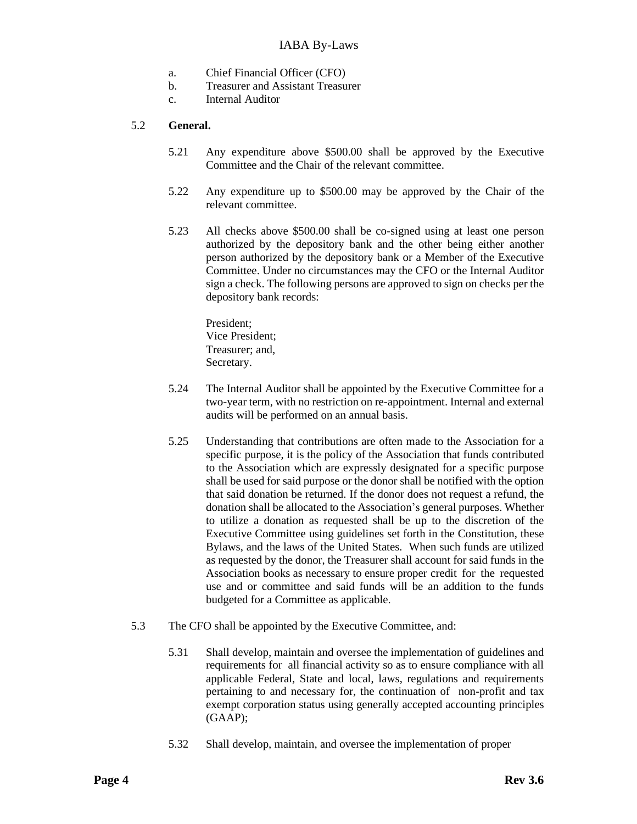- a. Chief Financial Officer (CFO)
- b. Treasurer and Assistant Treasurer
- c. Internal Auditor

## 5.2 **General.**

- 5.21 Any expenditure above \$500.00 shall be approved by the Executive Committee and the Chair of the relevant committee.
- 5.22 Any expenditure up to \$500.00 may be approved by the Chair of the relevant committee.
- 5.23 All checks above \$500.00 shall be co-signed using at least one person authorized by the depository bank and the other being either another person authorized by the depository bank or a Member of the Executive Committee. Under no circumstances may the CFO or the Internal Auditor sign a check. The following persons are approved to sign on checks per the depository bank records:

President; Vice President; Treasurer; and, Secretary.

- 5.24 The Internal Auditor shall be appointed by the Executive Committee for a two-year term, with no restriction on re-appointment. Internal and external audits will be performed on an annual basis.
- 5.25 Understanding that contributions are often made to the Association for a specific purpose, it is the policy of the Association that funds contributed to the Association which are expressly designated for a specific purpose shall be used for said purpose or the donor shall be notified with the option that said donation be returned. If the donor does not request a refund, the donation shall be allocated to the Association's general purposes. Whether to utilize a donation as requested shall be up to the discretion of the Executive Committee using guidelines set forth in the Constitution, these Bylaws, and the laws of the United States. When such funds are utilized as requested by the donor, the Treasurer shall account for said funds in the Association books as necessary to ensure proper credit for the requested use and or committee and said funds will be an addition to the funds budgeted for a Committee as applicable.
- 5.3 The CFO shall be appointed by the Executive Committee, and:
	- 5.31 Shall develop, maintain and oversee the implementation of guidelines and requirements for all financial activity so as to ensure compliance with all applicable Federal, State and local, laws, regulations and requirements pertaining to and necessary for, the continuation of non-profit and tax exempt corporation status using generally accepted accounting principles (GAAP);
	- 5.32 Shall develop, maintain, and oversee the implementation of proper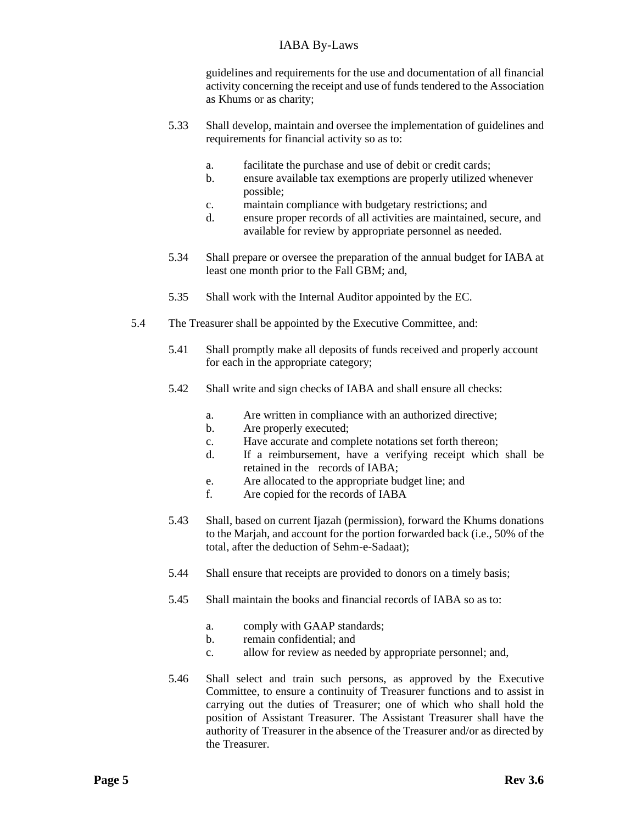guidelines and requirements for the use and documentation of all financial activity concerning the receipt and use of funds tendered to the Association as Khums or as charity;

- 5.33 Shall develop, maintain and oversee the implementation of guidelines and requirements for financial activity so as to:
	- a. facilitate the purchase and use of debit or credit cards;
	- b. ensure available tax exemptions are properly utilized whenever possible;
	- c. maintain compliance with budgetary restrictions; and
	- d. ensure proper records of all activities are maintained, secure, and available for review by appropriate personnel as needed.
- 5.34 Shall prepare or oversee the preparation of the annual budget for IABA at least one month prior to the Fall GBM; and,
- 5.35 Shall work with the Internal Auditor appointed by the EC.
- 5.4 The Treasurer shall be appointed by the Executive Committee, and:
	- 5.41 Shall promptly make all deposits of funds received and properly account for each in the appropriate category;
	- 5.42 Shall write and sign checks of IABA and shall ensure all checks:
		- a. Are written in compliance with an authorized directive;
		- b. Are properly executed;
		- c. Have accurate and complete notations set forth thereon;
		- d. If a reimbursement, have a verifying receipt which shall be retained in the records of IABA;
		- e. Are allocated to the appropriate budget line; and
		- f. Are copied for the records of IABA
	- 5.43 Shall, based on current Ijazah (permission), forward the Khums donations to the Marjah, and account for the portion forwarded back (i.e., 50% of the total, after the deduction of Sehm-e-Sadaat);
	- 5.44 Shall ensure that receipts are provided to donors on a timely basis;
	- 5.45 Shall maintain the books and financial records of IABA so as to:
		- a. comply with GAAP standards;
		- b. remain confidential; and
		- c. allow for review as needed by appropriate personnel; and,
	- 5.46 Shall select and train such persons, as approved by the Executive Committee, to ensure a continuity of Treasurer functions and to assist in carrying out the duties of Treasurer; one of which who shall hold the position of Assistant Treasurer. The Assistant Treasurer shall have the authority of Treasurer in the absence of the Treasurer and/or as directed by the Treasurer.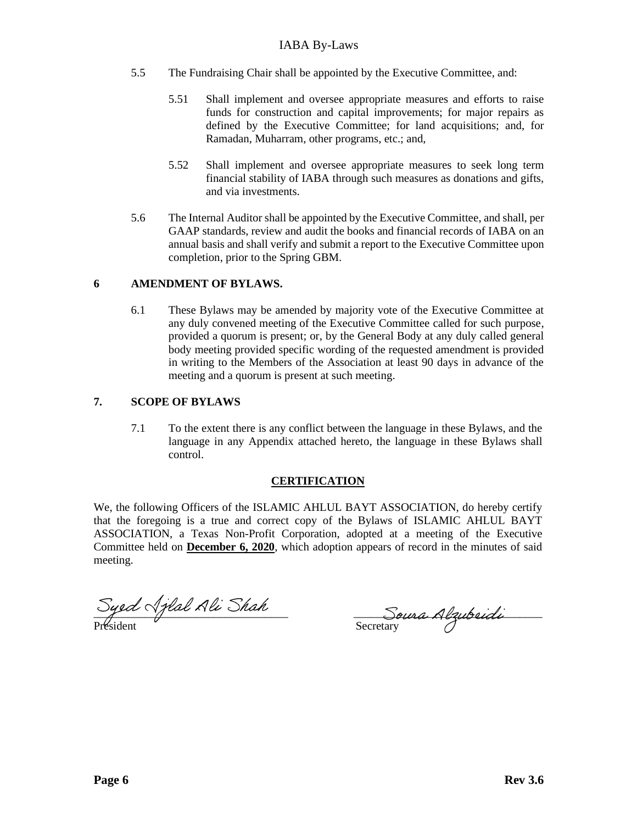- 5.5 The Fundraising Chair shall be appointed by the Executive Committee, and:
	- 5.51 Shall implement and oversee appropriate measures and efforts to raise funds for construction and capital improvements; for major repairs as defined by the Executive Committee; for land acquisitions; and, for Ramadan, Muharram, other programs, etc.; and,
	- 5.52 Shall implement and oversee appropriate measures to seek long term financial stability of IABA through such measures as donations and gifts, and via investments.
- 5.6 The Internal Auditor shall be appointed by the Executive Committee, and shall, per GAAP standards, review and audit the books and financial records of IABA on an annual basis and shall verify and submit a report to the Executive Committee upon completion, prior to the Spring GBM.

## **6 AMENDMENT OF BYLAWS.**

6.1 These Bylaws may be amended by majority vote of the Executive Committee at any duly convened meeting of the Executive Committee called for such purpose, provided a quorum is present; or, by the General Body at any duly called general body meeting provided specific wording of the requested amendment is provided in writing to the Members of the Association at least 90 days in advance of the meeting and a quorum is present at such meeting.

## **7. SCOPE OF BYLAWS**

7.1 To the extent there is any conflict between the language in these Bylaws, and the language in any Appendix attached hereto, the language in these Bylaws shall control.

# **CERTIFICATION**

We, the following Officers of the ISLAMIC AHLUL BAYT ASSOCIATION, do hereby certify that the foregoing is a true and correct copy of the Bylaws of ISLAMIC AHLUL BAYT ASSOCIATION, a Texas Non-Profit Corporation, adopted at a meeting of the Executive Committee held on **December 6, 2020**, which adoption appears of record in the minutes of said meeting.

Président Secretary

 $\frac{Sigma}{A}$  and  $\frac{Sigma}{A}$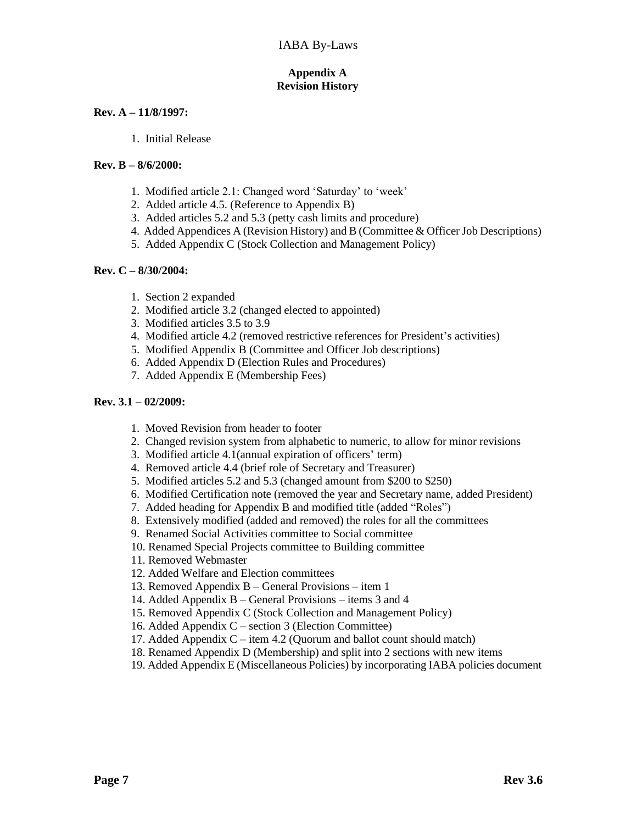## **Appendix A Revision History**

## **Rev. A – 11/8/1997:**

1. Initial Release

### **Rev. B – 8/6/2000:**

- 1. Modified article 2.1: Changed word 'Saturday' to 'week'
- 2. Added article 4.5. (Reference to Appendix B)
- 3. Added articles 5.2 and 5.3 (petty cash limits and procedure)
- 4. Added Appendices A (Revision History) and B (Committee & Officer Job Descriptions)
- 5. Added Appendix C (Stock Collection and Management Policy)

## **Rev. C – 8/30/2004:**

- 1. Section 2 expanded
- 2. Modified article 3.2 (changed elected to appointed)
- 3. Modified articles 3.5 to 3.9
- 4. Modified article 4.2 (removed restrictive references for President's activities)
- 5. Modified Appendix B (Committee and Officer Job descriptions)
- 6. Added Appendix D (Election Rules and Procedures)
- 7. Added Appendix E (Membership Fees)

## **Rev. 3.1 – 02/2009:**

- 1. Moved Revision from header to footer
- 2. Changed revision system from alphabetic to numeric, to allow for minor revisions
- 3. Modified article 4.1(annual expiration of officers' term)
- 4. Removed article 4.4 (brief role of Secretary and Treasurer)
- 5. Modified articles 5.2 and 5.3 (changed amount from \$200 to \$250)
- 6. Modified Certification note (removed the year and Secretary name, added President)
- 7. Added heading for Appendix B and modified title (added "Roles")
- 8. Extensively modified (added and removed) the roles for all the committees
- 9. Renamed Social Activities committee to Social committee
- 10. Renamed Special Projects committee to Building committee
- 11. Removed Webmaster
- 12. Added Welfare and Election committees
- 13. Removed Appendix B General Provisions item 1
- 14. Added Appendix B General Provisions items 3 and 4
- 15. Removed Appendix C (Stock Collection and Management Policy)
- 16. Added Appendix C section 3 (Election Committee)
- 17. Added Appendix C item 4.2 (Quorum and ballot count should match)
- 18. Renamed Appendix D (Membership) and split into 2 sections with new items
- 19. Added Appendix E (Miscellaneous Policies) by incorporating IABA policies document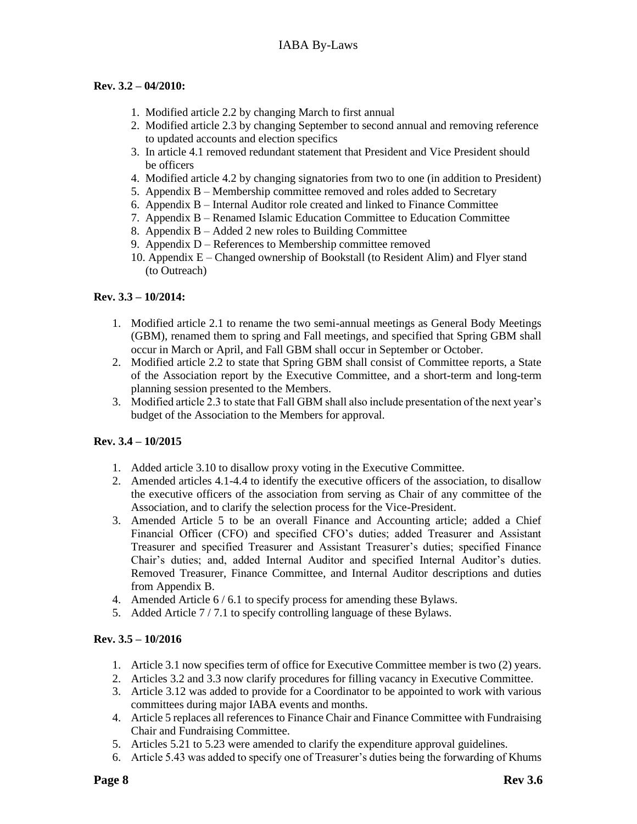## **Rev. 3.2 – 04/2010:**

- 1. Modified article 2.2 by changing March to first annual
- 2. Modified article 2.3 by changing September to second annual and removing reference to updated accounts and election specifics
- 3. In article 4.1 removed redundant statement that President and Vice President should be officers
- 4. Modified article 4.2 by changing signatories from two to one (in addition to President)
- 5. Appendix B Membership committee removed and roles added to Secretary
- 6. Appendix B Internal Auditor role created and linked to Finance Committee
- 7. Appendix B Renamed Islamic Education Committee to Education Committee
- 8. Appendix B Added 2 new roles to Building Committee
- 9. Appendix D References to Membership committee removed
- 10. Appendix E Changed ownership of Bookstall (to Resident Alim) and Flyer stand (to Outreach)

## **Rev. 3.3 – 10/2014:**

- 1. Modified article 2.1 to rename the two semi-annual meetings as General Body Meetings (GBM), renamed them to spring and Fall meetings, and specified that Spring GBM shall occur in March or April, and Fall GBM shall occur in September or October.
- 2. Modified article 2.2 to state that Spring GBM shall consist of Committee reports, a State of the Association report by the Executive Committee, and a short-term and long-term planning session presented to the Members.
- 3. Modified article 2.3 to state that Fall GBM shall also include presentation of the next year's budget of the Association to the Members for approval.

#### **Rev. 3.4 – 10/2015**

- 1. Added article 3.10 to disallow proxy voting in the Executive Committee.
- 2. Amended articles 4.1-4.4 to identify the executive officers of the association, to disallow the executive officers of the association from serving as Chair of any committee of the Association, and to clarify the selection process for the Vice-President.
- 3. Amended Article 5 to be an overall Finance and Accounting article; added a Chief Financial Officer (CFO) and specified CFO's duties; added Treasurer and Assistant Treasurer and specified Treasurer and Assistant Treasurer's duties; specified Finance Chair's duties; and, added Internal Auditor and specified Internal Auditor's duties. Removed Treasurer, Finance Committee, and Internal Auditor descriptions and duties from Appendix B.
- 4. Amended Article 6 / 6.1 to specify process for amending these Bylaws.
- 5. Added Article 7 / 7.1 to specify controlling language of these Bylaws.

## **Rev. 3.5 – 10/2016**

- 1. Article 3.1 now specifies term of office for Executive Committee member is two (2) years.
- 2. Articles 3.2 and 3.3 now clarify procedures for filling vacancy in Executive Committee.
- 3. Article 3.12 was added to provide for a Coordinator to be appointed to work with various committees during major IABA events and months.
- 4. Article 5 replaces all references to Finance Chair and Finance Committee with Fundraising Chair and Fundraising Committee.
- 5. Articles 5.21 to 5.23 were amended to clarify the expenditure approval guidelines.
- 6. Article 5.43 was added to specify one of Treasurer's duties being the forwarding of Khums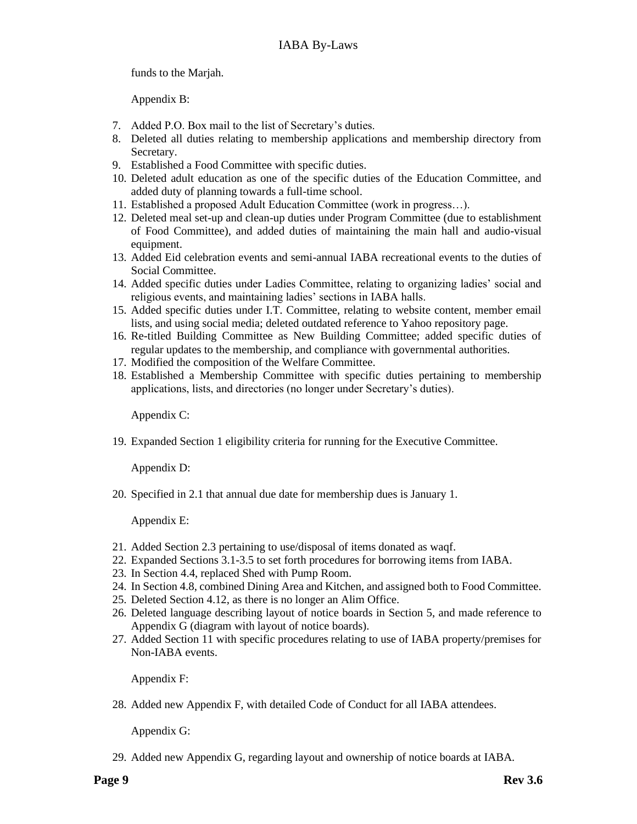funds to the Marjah.

Appendix B:

- 7. Added P.O. Box mail to the list of Secretary's duties.
- 8. Deleted all duties relating to membership applications and membership directory from Secretary.
- 9. Established a Food Committee with specific duties.
- 10. Deleted adult education as one of the specific duties of the Education Committee, and added duty of planning towards a full-time school.
- 11. Established a proposed Adult Education Committee (work in progress…).
- 12. Deleted meal set-up and clean-up duties under Program Committee (due to establishment of Food Committee), and added duties of maintaining the main hall and audio-visual equipment.
- 13. Added Eid celebration events and semi-annual IABA recreational events to the duties of Social Committee.
- 14. Added specific duties under Ladies Committee, relating to organizing ladies' social and religious events, and maintaining ladies' sections in IABA halls.
- 15. Added specific duties under I.T. Committee, relating to website content, member email lists, and using social media; deleted outdated reference to Yahoo repository page.
- 16. Re-titled Building Committee as New Building Committee; added specific duties of regular updates to the membership, and compliance with governmental authorities.
- 17. Modified the composition of the Welfare Committee.
- 18. Established a Membership Committee with specific duties pertaining to membership applications, lists, and directories (no longer under Secretary's duties).

Appendix C:

19. Expanded Section 1 eligibility criteria for running for the Executive Committee.

Appendix D:

20. Specified in 2.1 that annual due date for membership dues is January 1.

Appendix E:

- 21. Added Section 2.3 pertaining to use/disposal of items donated as waqf.
- 22. Expanded Sections 3.1-3.5 to set forth procedures for borrowing items from IABA.
- 23. In Section 4.4, replaced Shed with Pump Room.
- 24. In Section 4.8, combined Dining Area and Kitchen, and assigned both to Food Committee.
- 25. Deleted Section 4.12, as there is no longer an Alim Office.
- 26. Deleted language describing layout of notice boards in Section 5, and made reference to Appendix G (diagram with layout of notice boards).
- 27. Added Section 11 with specific procedures relating to use of IABA property/premises for Non-IABA events.

Appendix F:

28. Added new Appendix F, with detailed Code of Conduct for all IABA attendees.

Appendix G:

29. Added new Appendix G, regarding layout and ownership of notice boards at IABA.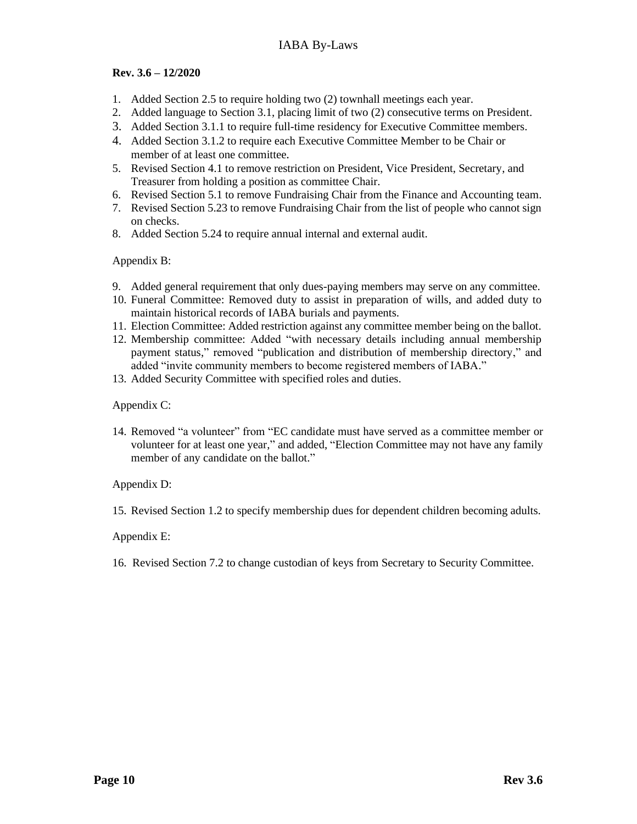## **Rev. 3.6 – 12/2020**

- 1. Added Section 2.5 to require holding two (2) townhall meetings each year.
- 2. Added language to Section 3.1, placing limit of two (2) consecutive terms on President.
- 3. Added Section 3.1.1 to require full-time residency for Executive Committee members.
- 4. Added Section 3.1.2 to require each Executive Committee Member to be Chair or member of at least one committee*.*
- 5. Revised Section 4.1 to remove restriction on President, Vice President, Secretary, and Treasurer from holding a position as committee Chair.
- 6. Revised Section 5.1 to remove Fundraising Chair from the Finance and Accounting team.
- 7. Revised Section 5.23 to remove Fundraising Chair from the list of people who cannot sign on checks.
- 8. Added Section 5.24 to require annual internal and external audit.

Appendix B:

- 9. Added general requirement that only dues-paying members may serve on any committee.
- 10. Funeral Committee: Removed duty to assist in preparation of wills, and added duty to maintain historical records of IABA burials and payments.
- 11. Election Committee: Added restriction against any committee member being on the ballot.
- 12. Membership committee: Added "with necessary details including annual membership payment status," removed "publication and distribution of membership directory," and added "invite community members to become registered members of IABA."
- 13. Added Security Committee with specified roles and duties.

Appendix C:

14. Removed "a volunteer" from "EC candidate must have served as a committee member or volunteer for at least one year," and added, "Election Committee may not have any family member of any candidate on the ballot."

Appendix D:

15. Revised Section 1.2 to specify membership dues for dependent children becoming adults.

Appendix E:

16. Revised Section 7.2 to change custodian of keys from Secretary to Security Committee.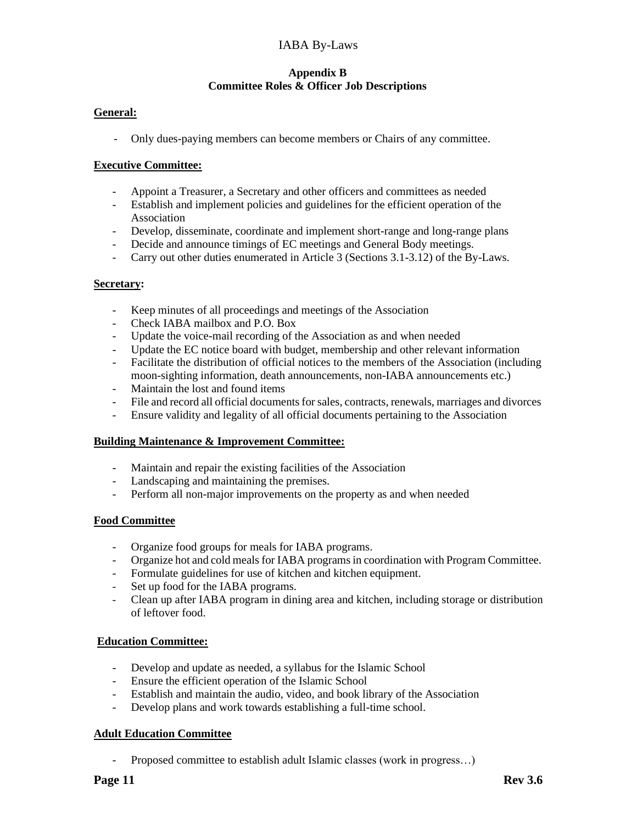## **Appendix B Committee Roles & Officer Job Descriptions**

## **General:**

- Only dues-paying members can become members or Chairs of any committee.

## **Executive Committee:**

- Appoint a Treasurer, a Secretary and other officers and committees as needed
- Establish and implement policies and guidelines for the efficient operation of the Association
- Develop, disseminate, coordinate and implement short-range and long-range plans
- Decide and announce timings of EC meetings and General Body meetings.
- Carry out other duties enumerated in Article 3 (Sections 3.1-3.12) of the By-Laws.

## **Secretary:**

- Keep minutes of all proceedings and meetings of the Association
- Check IABA mailbox and P.O. Box
- Update the voice-mail recording of the Association as and when needed
- Update the EC notice board with budget, membership and other relevant information
- Facilitate the distribution of official notices to the members of the Association (including moon-sighting information, death announcements, non-IABA announcements etc.)
- Maintain the lost and found items
- File and record all official documents for sales, contracts, renewals, marriages and divorces
- Ensure validity and legality of all official documents pertaining to the Association

#### **Building Maintenance & Improvement Committee:**

- Maintain and repair the existing facilities of the Association
- Landscaping and maintaining the premises.
- Perform all non-major improvements on the property as and when needed

# **Food Committee**

- Organize food groups for meals for IABA programs.
- Organize hot and cold meals for IABA programsin coordination with Program Committee.
- Formulate guidelines for use of kitchen and kitchen equipment.
- Set up food for the IABA programs.
- Clean up after IABA program in dining area and kitchen, including storage or distribution of leftover food.

#### **Education Committee:**

- Develop and update as needed, a syllabus for the Islamic School
- Ensure the efficient operation of the Islamic School
- Establish and maintain the audio, video, and book library of the Association
- Develop plans and work towards establishing a full-time school.

#### **Adult Education Committee**

- Proposed committee to establish adult Islamic classes (work in progress…)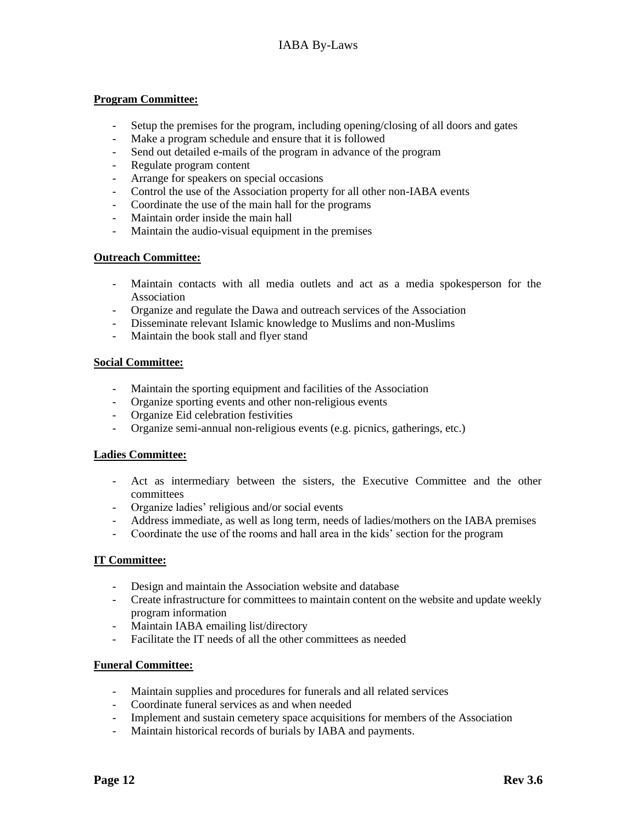## **Program Committee:**

- Setup the premises for the program, including opening/closing of all doors and gates
- Make a program schedule and ensure that it is followed
- Send out detailed e-mails of the program in advance of the program
- Regulate program content
- Arrange for speakers on special occasions
- Control the use of the Association property for all other non-IABA events
- Coordinate the use of the main hall for the programs
- Maintain order inside the main hall
- Maintain the audio-visual equipment in the premises

#### **Outreach Committee:**

- Maintain contacts with all media outlets and act as a media spokesperson for the Association
- Organize and regulate the Dawa and outreach services of the Association
- Disseminate relevant Islamic knowledge to Muslims and non-Muslims
- Maintain the book stall and flyer stand

#### **Social Committee:**

- Maintain the sporting equipment and facilities of the Association
- Organize sporting events and other non-religious events
- Organize Eid celebration festivities
- Organize semi-annual non-religious events (e.g. picnics, gatherings, etc.)

#### **Ladies Committee:**

- Act as intermediary between the sisters, the Executive Committee and the other committees
- Organize ladies' religious and/or social events
- Address immediate, as well as long term, needs of ladies/mothers on the IABA premises
- Coordinate the use of the rooms and hall area in the kids' section for the program

#### **IT Committee:**

- Design and maintain the Association website and database
- Create infrastructure for committees to maintain content on the website and update weekly program information
- Maintain IABA emailing list/directory
- Facilitate the IT needs of all the other committees as needed

#### **Funeral Committee:**

- Maintain supplies and procedures for funerals and all related services
- Coordinate funeral services as and when needed
- Implement and sustain cemetery space acquisitions for members of the Association
- Maintain historical records of burials by IABA and payments.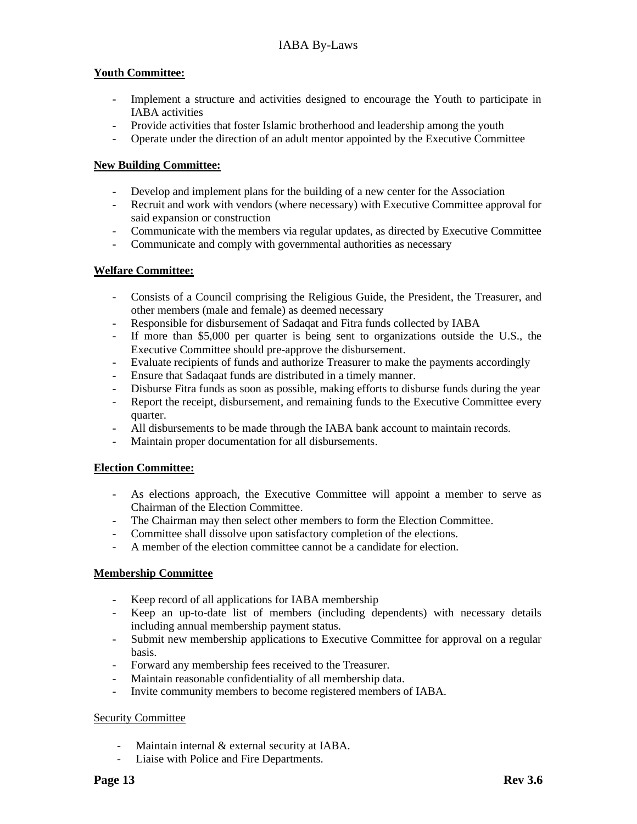## **Youth Committee:**

- Implement a structure and activities designed to encourage the Youth to participate in IABA activities
- Provide activities that foster Islamic brotherhood and leadership among the youth
- Operate under the direction of an adult mentor appointed by the Executive Committee

## **New Building Committee:**

- Develop and implement plans for the building of a new center for the Association
- Recruit and work with vendors (where necessary) with Executive Committee approval for said expansion or construction
- Communicate with the members via regular updates, as directed by Executive Committee
- Communicate and comply with governmental authorities as necessary

## **Welfare Committee:**

- Consists of a Council comprising the Religious Guide, the President, the Treasurer, and other members (male and female) as deemed necessary
- Responsible for disbursement of Sadaqat and Fitra funds collected by IABA
- If more than \$5,000 per quarter is being sent to organizations outside the U.S., the Executive Committee should pre-approve the disbursement.
- Evaluate recipients of funds and authorize Treasurer to make the payments accordingly
- Ensure that Sadaqaat funds are distributed in a timely manner.
- Disburse Fitra funds as soon as possible, making efforts to disburse funds during the year
- Report the receipt, disbursement, and remaining funds to the Executive Committee every quarter.
- All disbursements to be made through the IABA bank account to maintain records.
- Maintain proper documentation for all disbursements.

#### **Election Committee:**

- As elections approach, the Executive Committee will appoint a member to serve as Chairman of the Election Committee.
- The Chairman may then select other members to form the Election Committee.
- Committee shall dissolve upon satisfactory completion of the elections.
- A member of the election committee cannot be a candidate for election.

# **Membership Committee**

- Keep record of all applications for IABA membership
- Keep an up-to-date list of members (including dependents) with necessary details including annual membership payment status.
- Submit new membership applications to Executive Committee for approval on a regular basis.
- Forward any membership fees received to the Treasurer.
- Maintain reasonable confidentiality of all membership data.
- Invite community members to become registered members of IABA.

#### Security Committee

- Maintain internal & external security at IABA.
- Liaise with Police and Fire Departments.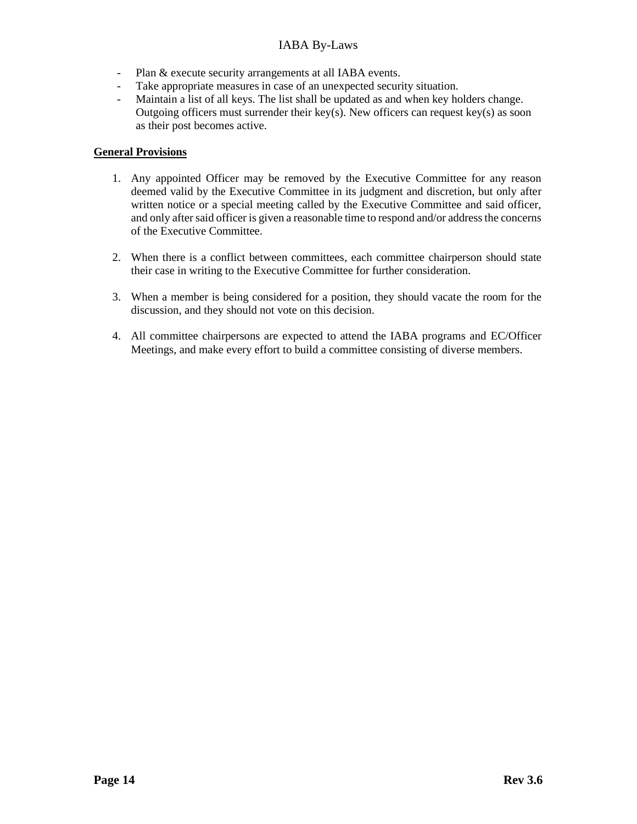- Plan & execute security arrangements at all IABA events.
- Take appropriate measures in case of an unexpected security situation.
- Maintain a list of all keys. The list shall be updated as and when key holders change. Outgoing officers must surrender their key(s). New officers can request key(s) as soon as their post becomes active.

## **General Provisions**

- 1. Any appointed Officer may be removed by the Executive Committee for any reason deemed valid by the Executive Committee in its judgment and discretion, but only after written notice or a special meeting called by the Executive Committee and said officer, and only after said officer is given a reasonable time to respond and/or address the concerns of the Executive Committee.
- 2. When there is a conflict between committees, each committee chairperson should state their case in writing to the Executive Committee for further consideration.
- 3. When a member is being considered for a position, they should vacate the room for the discussion, and they should not vote on this decision.
- 4. All committee chairpersons are expected to attend the IABA programs and EC/Officer Meetings, and make every effort to build a committee consisting of diverse members.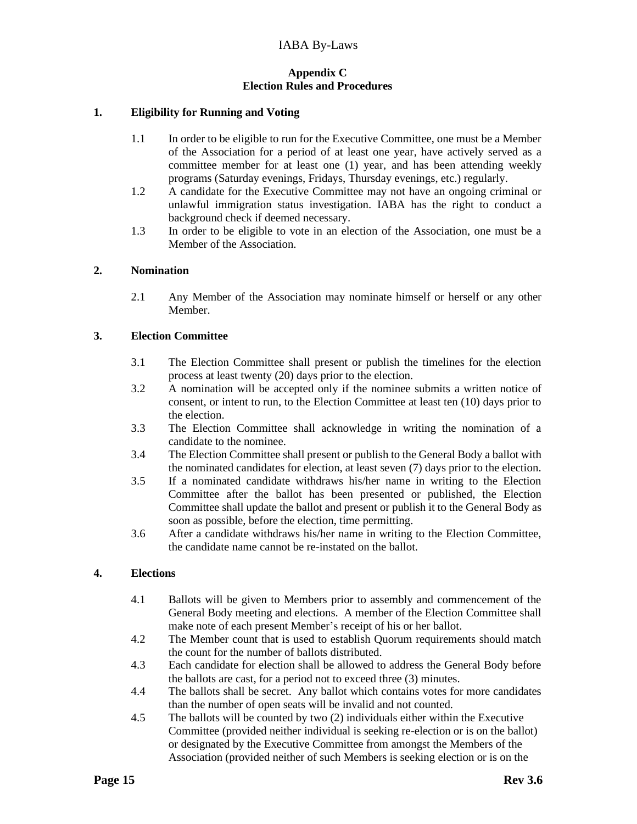## **Appendix C Election Rules and Procedures**

## **1. Eligibility for Running and Voting**

- 1.1 In order to be eligible to run for the Executive Committee, one must be a Member of the Association for a period of at least one year, have actively served as a committee member for at least one (1) year, and has been attending weekly programs (Saturday evenings, Fridays, Thursday evenings, etc.) regularly.
- 1.2 A candidate for the Executive Committee may not have an ongoing criminal or unlawful immigration status investigation. IABA has the right to conduct a background check if deemed necessary.
- 1.3 In order to be eligible to vote in an election of the Association, one must be a Member of the Association.

#### **2. Nomination**

2.1 Any Member of the Association may nominate himself or herself or any other Member.

#### **3. Election Committee**

- 3.1 The Election Committee shall present or publish the timelines for the election process at least twenty (20) days prior to the election.
- 3.2 A nomination will be accepted only if the nominee submits a written notice of consent, or intent to run, to the Election Committee at least ten (10) days prior to the election.
- 3.3 The Election Committee shall acknowledge in writing the nomination of a candidate to the nominee.
- 3.4 The Election Committee shall present or publish to the General Body a ballot with the nominated candidates for election, at least seven (7) days prior to the election.
- 3.5 If a nominated candidate withdraws his/her name in writing to the Election Committee after the ballot has been presented or published, the Election Committee shall update the ballot and present or publish it to the General Body as soon as possible, before the election, time permitting.
- 3.6 After a candidate withdraws his/her name in writing to the Election Committee, the candidate name cannot be re-instated on the ballot.

#### **4. Elections**

- 4.1 Ballots will be given to Members prior to assembly and commencement of the General Body meeting and elections. A member of the Election Committee shall make note of each present Member's receipt of his or her ballot.
- 4.2 The Member count that is used to establish Quorum requirements should match the count for the number of ballots distributed.
- 4.3 Each candidate for election shall be allowed to address the General Body before the ballots are cast, for a period not to exceed three (3) minutes.
- 4.4 The ballots shall be secret. Any ballot which contains votes for more candidates than the number of open seats will be invalid and not counted.
- 4.5 The ballots will be counted by two (2) individuals either within the Executive Committee (provided neither individual is seeking re-election or is on the ballot) or designated by the Executive Committee from amongst the Members of the Association (provided neither of such Members is seeking election or is on the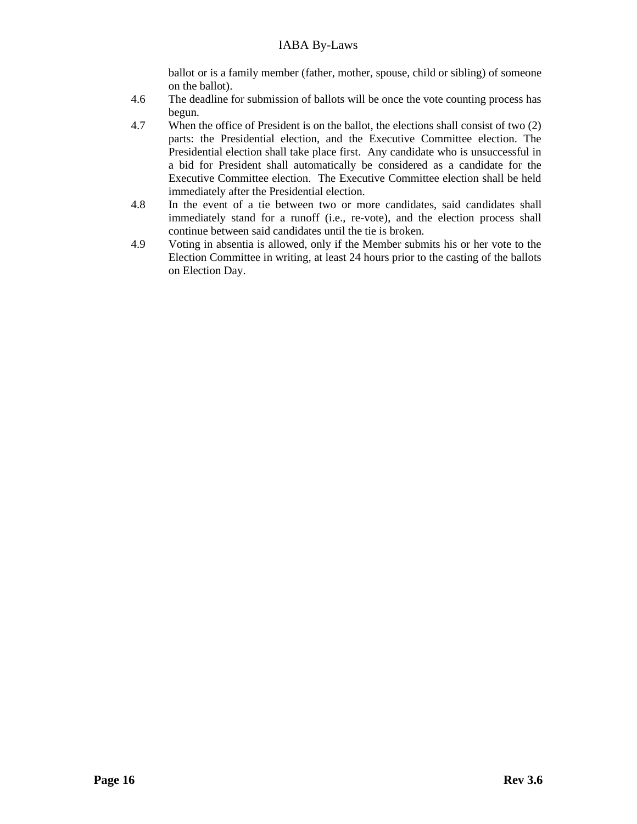ballot or is a family member (father, mother, spouse, child or sibling) of someone on the ballot).

- 4.6 The deadline for submission of ballots will be once the vote counting process has begun.
- 4.7 When the office of President is on the ballot, the elections shall consist of two (2) parts: the Presidential election, and the Executive Committee election. The Presidential election shall take place first. Any candidate who is unsuccessful in a bid for President shall automatically be considered as a candidate for the Executive Committee election. The Executive Committee election shall be held immediately after the Presidential election.
- 4.8 In the event of a tie between two or more candidates, said candidates shall immediately stand for a runoff (i.e., re-vote), and the election process shall continue between said candidates until the tie is broken.
- 4.9 Voting in absentia is allowed, only if the Member submits his or her vote to the Election Committee in writing, at least 24 hours prior to the casting of the ballots on Election Day.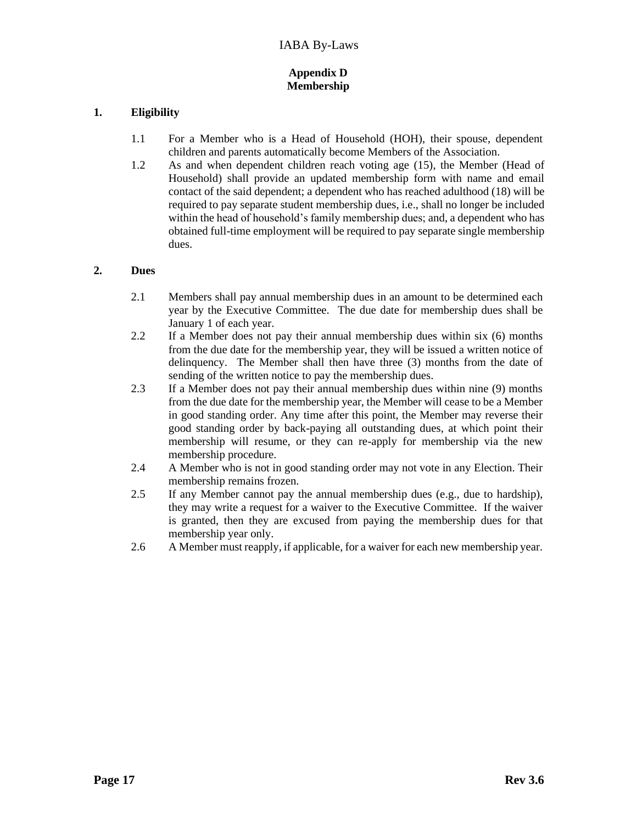## **Appendix D Membership**

## **1. Eligibility**

- 1.1 For a Member who is a Head of Household (HOH), their spouse, dependent children and parents automatically become Members of the Association.
- 1.2 As and when dependent children reach voting age (15), the Member (Head of Household) shall provide an updated membership form with name and email contact of the said dependent; a dependent who has reached adulthood (18) will be required to pay separate student membership dues, i.e., shall no longer be included within the head of household's family membership dues; and, a dependent who has obtained full-time employment will be required to pay separate single membership dues.

# **2. Dues**

- 2.1 Members shall pay annual membership dues in an amount to be determined each year by the Executive Committee. The due date for membership dues shall be January 1 of each year.
- 2.2 If a Member does not pay their annual membership dues within six (6) months from the due date for the membership year, they will be issued a written notice of delinquency. The Member shall then have three (3) months from the date of sending of the written notice to pay the membership dues.
- 2.3 If a Member does not pay their annual membership dues within nine (9) months from the due date for the membership year, the Member will cease to be a Member in good standing order. Any time after this point, the Member may reverse their good standing order by back-paying all outstanding dues, at which point their membership will resume, or they can re-apply for membership via the new membership procedure.
- 2.4 A Member who is not in good standing order may not vote in any Election. Their membership remains frozen.
- 2.5 If any Member cannot pay the annual membership dues (e.g., due to hardship), they may write a request for a waiver to the Executive Committee. If the waiver is granted, then they are excused from paying the membership dues for that membership year only.
- 2.6 A Member must reapply, if applicable, for a waiver for each new membership year.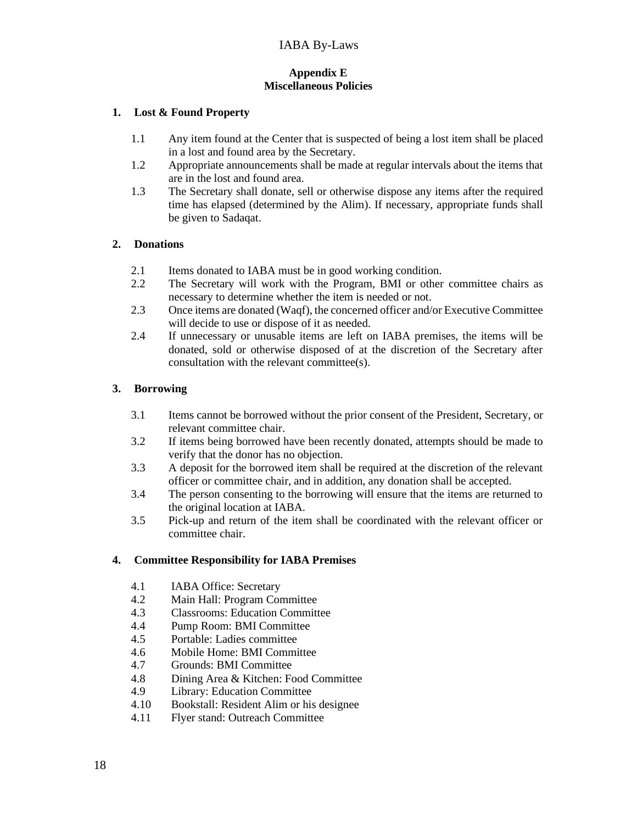## **Appendix E Miscellaneous Policies**

#### **1. Lost & Found Property**

- 1.1 Any item found at the Center that is suspected of being a lost item shall be placed in a lost and found area by the Secretary.
- 1.2 Appropriate announcements shall be made at regular intervals about the items that are in the lost and found area.
- 1.3 The Secretary shall donate, sell or otherwise dispose any items after the required time has elapsed (determined by the Alim). If necessary, appropriate funds shall be given to Sadaqat.

#### **2. Donations**

- 2.1 Items donated to IABA must be in good working condition.
- 2.2 The Secretary will work with the Program, BMI or other committee chairs as necessary to determine whether the item is needed or not.
- 2.3 Once items are donated (Waqf), the concerned officer and/or Executive Committee will decide to use or dispose of it as needed.
- 2.4 If unnecessary or unusable items are left on IABA premises, the items will be donated, sold or otherwise disposed of at the discretion of the Secretary after consultation with the relevant committee(s).

## **3. Borrowing**

- 3.1 Items cannot be borrowed without the prior consent of the President, Secretary, or relevant committee chair.
- 3.2 If items being borrowed have been recently donated, attempts should be made to verify that the donor has no objection.
- 3.3 A deposit for the borrowed item shall be required at the discretion of the relevant officer or committee chair, and in addition, any donation shall be accepted.
- 3.4 The person consenting to the borrowing will ensure that the items are returned to the original location at IABA.
- 3.5 Pick-up and return of the item shall be coordinated with the relevant officer or committee chair.

#### **4. Committee Responsibility for IABA Premises**

- 4.1 IABA Office: Secretary
- 4.2 Main Hall: Program Committee
- 4.3 Classrooms: Education Committee
- 4.4 Pump Room: BMI Committee
- 4.5 Portable: Ladies committee
- 4.6 Mobile Home: BMI Committee
- 4.7 Grounds: BMI Committee
- 4.8 Dining Area & Kitchen: Food Committee
- 4.9 Library: Education Committee
- 4.10 Bookstall: Resident Alim or his designee
- 4.11 Flyer stand: Outreach Committee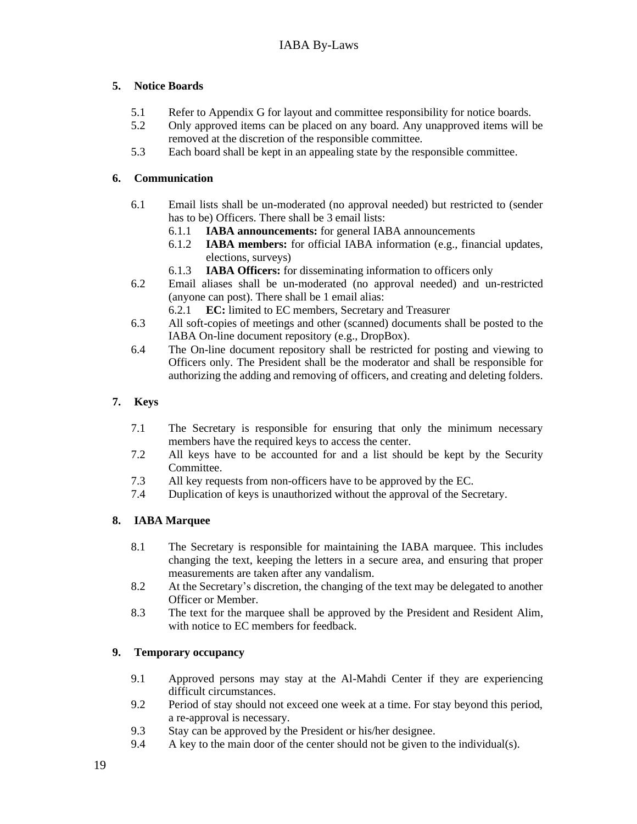# **5. Notice Boards**

- 5.1 Refer to Appendix G for layout and committee responsibility for notice boards.
- 5.2 Only approved items can be placed on any board. Any unapproved items will be removed at the discretion of the responsible committee.
- 5.3 Each board shall be kept in an appealing state by the responsible committee.

## **6. Communication**

- 6.1 Email lists shall be un-moderated (no approval needed) but restricted to (sender has to be) Officers. There shall be 3 email lists:
	- 6.1.1 **IABA announcements:** for general IABA announcements
	- 6.1.2 **IABA members:** for official IABA information (e.g., financial updates, elections, surveys)
	- 6.1.3 **IABA Officers:** for disseminating information to officers only
- 6.2 Email aliases shall be un-moderated (no approval needed) and un-restricted (anyone can post). There shall be 1 email alias:
	- 6.2.1 **EC:** limited to EC members, Secretary and Treasurer
- 6.3 All soft-copies of meetings and other (scanned) documents shall be posted to the IABA On-line document repository (e.g., DropBox).
- 6.4 The On-line document repository shall be restricted for posting and viewing to Officers only. The President shall be the moderator and shall be responsible for authorizing the adding and removing of officers, and creating and deleting folders.

## **7. Keys**

- 7.1 The Secretary is responsible for ensuring that only the minimum necessary members have the required keys to access the center.
- 7.2 All keys have to be accounted for and a list should be kept by the Security Committee.
- 7.3 All key requests from non-officers have to be approved by the EC.
- 7.4 Duplication of keys is unauthorized without the approval of the Secretary.

# **8. IABA Marquee**

- 8.1 The Secretary is responsible for maintaining the IABA marquee. This includes changing the text, keeping the letters in a secure area, and ensuring that proper measurements are taken after any vandalism.
- 8.2 At the Secretary's discretion, the changing of the text may be delegated to another Officer or Member.
- 8.3 The text for the marquee shall be approved by the President and Resident Alim, with notice to EC members for feedback.

#### **9. Temporary occupancy**

- 9.1 Approved persons may stay at the Al-Mahdi Center if they are experiencing difficult circumstances.
- 9.2 Period of stay should not exceed one week at a time. For stay beyond this period, a re-approval is necessary.
- 9.3 Stay can be approved by the President or his/her designee.
- 9.4 A key to the main door of the center should not be given to the individual(s).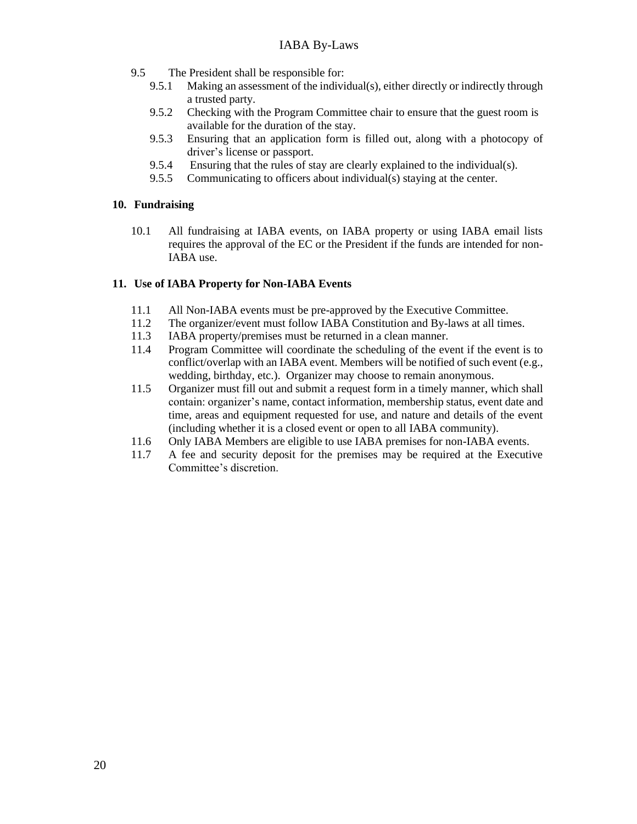- 9.5 The President shall be responsible for:
	- 9.5.1 Making an assessment of the individual(s), either directly or indirectly through a trusted party.
	- 9.5.2 Checking with the Program Committee chair to ensure that the guest room is available for the duration of the stay.
	- 9.5.3 Ensuring that an application form is filled out, along with a photocopy of driver's license or passport.
	- 9.5.4 Ensuring that the rules of stay are clearly explained to the individual(s).
	- 9.5.5 Communicating to officers about individual(s) staying at the center.

## **10. Fundraising**

10.1 All fundraising at IABA events, on IABA property or using IABA email lists requires the approval of the EC or the President if the funds are intended for non-IABA use.

## **11. Use of IABA Property for Non-IABA Events**

- 11.1 All Non-IABA events must be pre-approved by the Executive Committee.
- 11.2 The organizer/event must follow IABA Constitution and By-laws at all times.
- 11.3 IABA property/premises must be returned in a clean manner.
- 11.4 Program Committee will coordinate the scheduling of the event if the event is to conflict/overlap with an IABA event. Members will be notified of such event (e.g., wedding, birthday, etc.). Organizer may choose to remain anonymous.
- 11.5 Organizer must fill out and submit a request form in a timely manner, which shall contain: organizer's name, contact information, membership status, event date and time, areas and equipment requested for use, and nature and details of the event (including whether it is a closed event or open to all IABA community).
- 11.6 Only IABA Members are eligible to use IABA premises for non-IABA events.
- 11.7 A fee and security deposit for the premises may be required at the Executive Committee's discretion.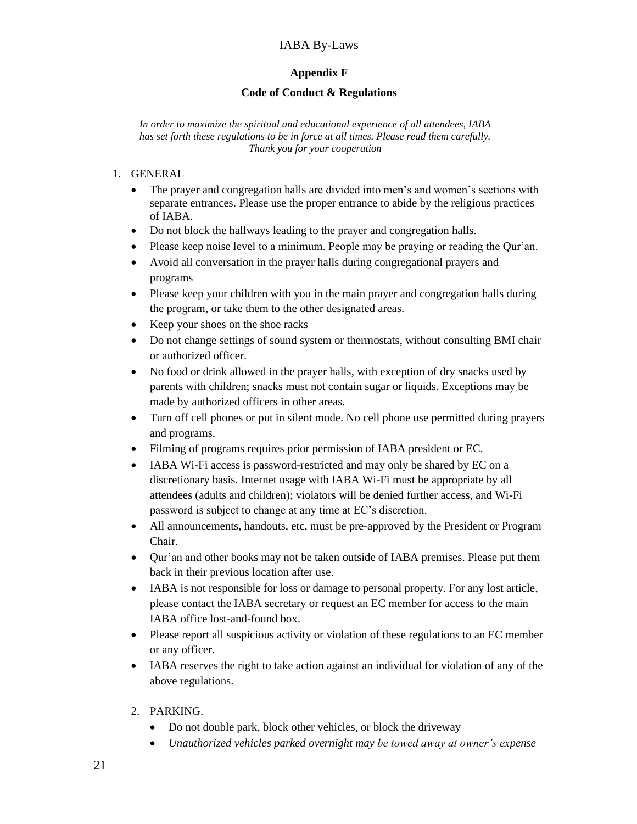# **Appendix F**

## **Code of Conduct & Regulations**

*In order to maximize the spiritual and educational experience of all attendees, IABA has set forth these regulations to be in force at all times. Please read them carefully. Thank you for your cooperation*

- 1. GENERAL
	- The prayer and congregation halls are divided into men's and women's sections with separate entrances. Please use the proper entrance to abide by the religious practices of IABA.
	- Do not block the hallways leading to the prayer and congregation halls.
	- Please keep noise level to a minimum. People may be praying or reading the Qur'an.
	- Avoid all conversation in the prayer halls during congregational prayers and programs
	- Please keep your children with you in the main prayer and congregation halls during the program, or take them to the other designated areas.
	- Keep your shoes on the shoe racks
	- Do not change settings of sound system or thermostats, without consulting BMI chair or authorized officer.
	- No food or drink allowed in the prayer halls, with exception of dry snacks used by parents with children; snacks must not contain sugar or liquids. Exceptions may be made by authorized officers in other areas.
	- Turn off cell phones or put in silent mode. No cell phone use permitted during prayers and programs.
	- Filming of programs requires prior permission of IABA president or EC.
	- IABA Wi-Fi access is password-restricted and may only be shared by EC on a discretionary basis. Internet usage with IABA Wi-Fi must be appropriate by all attendees (adults and children); violators will be denied further access, and Wi-Fi password is subject to change at any time at EC's discretion.
	- All announcements, handouts, etc. must be pre-approved by the President or Program Chair.
	- Qur'an and other books may not be taken outside of IABA premises. Please put them back in their previous location after use.
	- IABA is not responsible for loss or damage to personal property. For any lost article, please contact the IABA secretary or request an EC member for access to the main IABA office lost-and-found box.
	- Please report all suspicious activity or violation of these regulations to an EC member or any officer.
	- IABA reserves the right to take action against an individual for violation of any of the above regulations.
	- 2. PARKING.
		- Do not double park, block other vehicles, or block the driveway
		- *Unauthorized vehicles parked overnight may be towed away at owner's expense*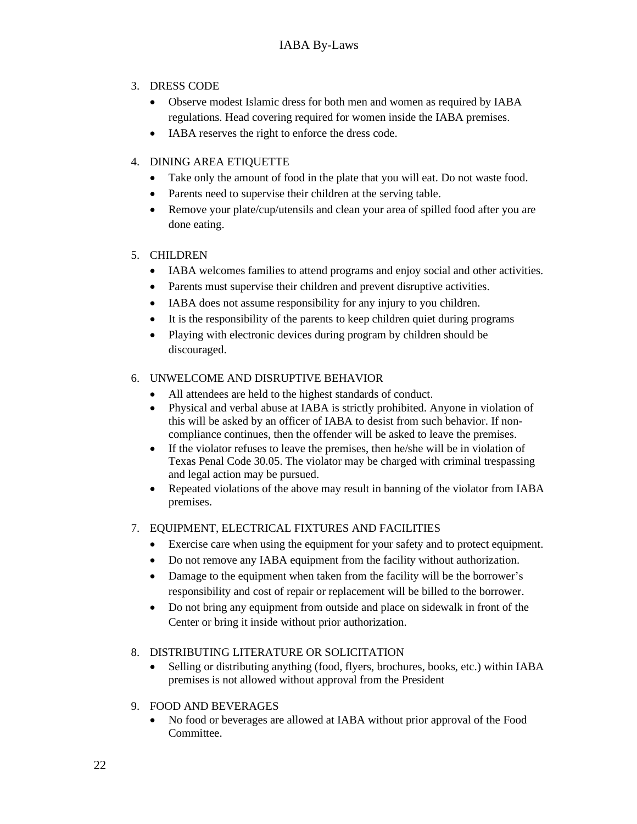# 3. DRESS CODE

- Observe modest Islamic dress for both men and women as required by IABA regulations. Head covering required for women inside the IABA premises.
- IABA reserves the right to enforce the dress code.

# 4. DINING AREA ETIQUETTE

- Take only the amount of food in the plate that you will eat. Do not waste food.
- Parents need to supervise their children at the serving table.
- Remove your plate/cup/utensils and clean your area of spilled food after you are done eating.

# 5. CHILDREN

- IABA welcomes families to attend programs and enjoy social and other activities.
- Parents must supervise their children and prevent disruptive activities.
- IABA does not assume responsibility for any injury to you children.
- It is the responsibility of the parents to keep children quiet during programs
- Playing with electronic devices during program by children should be discouraged.

# 6. UNWELCOME AND DISRUPTIVE BEHAVIOR

- All attendees are held to the highest standards of conduct.
- Physical and verbal abuse at IABA is strictly prohibited. Anyone in violation of this will be asked by an officer of IABA to desist from such behavior. If noncompliance continues, then the offender will be asked to leave the premises.
- If the violator refuses to leave the premises, then he/she will be in violation of Texas Penal Code 30.05. The violator may be charged with criminal trespassing and legal action may be pursued.
- Repeated violations of the above may result in banning of the violator from IABA premises.

# 7. EQUIPMENT, ELECTRICAL FIXTURES AND FACILITIES

- Exercise care when using the equipment for your safety and to protect equipment.
- Do not remove any IABA equipment from the facility without authorization.
- Damage to the equipment when taken from the facility will be the borrower's responsibility and cost of repair or replacement will be billed to the borrower.
- Do not bring any equipment from outside and place on sidewalk in front of the Center or bring it inside without prior authorization.

# 8. DISTRIBUTING LITERATURE OR SOLICITATION

- Selling or distributing anything (food, flyers, brochures, books, etc.) within IABA premises is not allowed without approval from the President
- 9. FOOD AND BEVERAGES
	- No food or beverages are allowed at IABA without prior approval of the Food Committee.